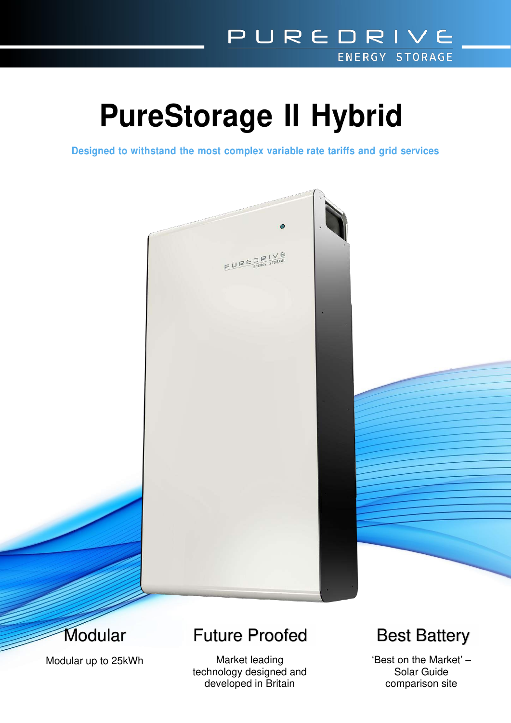# **PureStorage II Hybrid**

**Designed to withstand the most complex variable rate tariffs and grid services**





Modular up to 25kWh

## Future Proofed Best Battery

technology designed and developed in Britain **comparison** site

Market leading  $\begin{array}{ccc} \text{Market leading} \end{array}$  'Best on the Market' –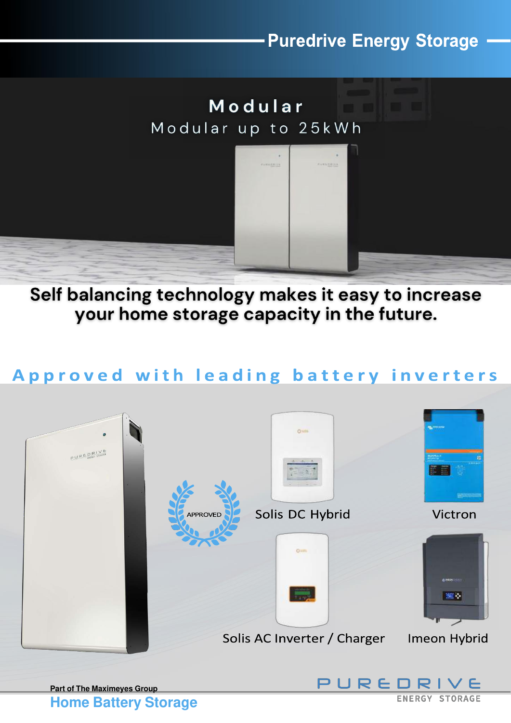### **Puredrive Energy Storage**



Self balancing technology makes it easy to increase your home storage capacity in the future.

#### Approved with leading battery inverters



**Home Battery Storage** 

**ENERGY STORAGE**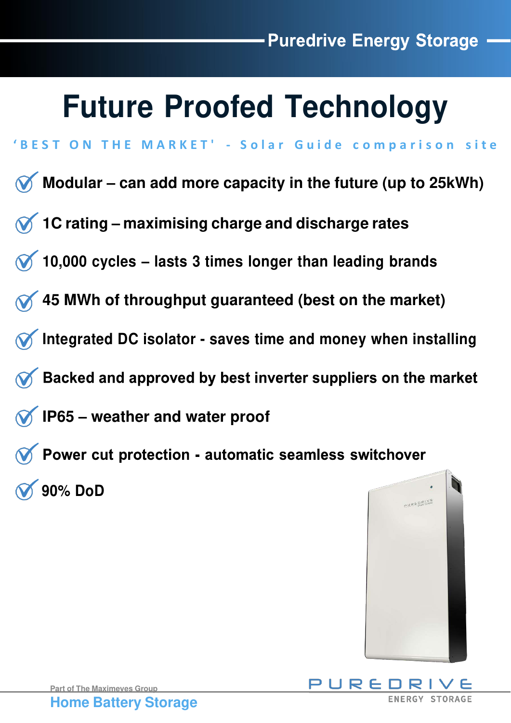# **Future Proofed Technology**

- **' B E S T O N T H E M A R K E T ' S o l a r G u i d e c o m p a r i s o n s i t e**
- **Modular – can add more capacity in the future (up to 25kWh)**
- **1C rating – maximising charge and discharge rates**
- **10,000 cycles – lasts 3 times longer than leading brands**
- **45 MWh of throughput guaranteed (best on the market)**
- **Integrated DC isolator saves time and money when installing**
- Backed and approved by best inverter suppliers on the market
- **IP65 – weather and water proof**
- **Theory Convercent protection automatic seamless switchover 90% DoD**





PURED **ENERGY STORAGE**